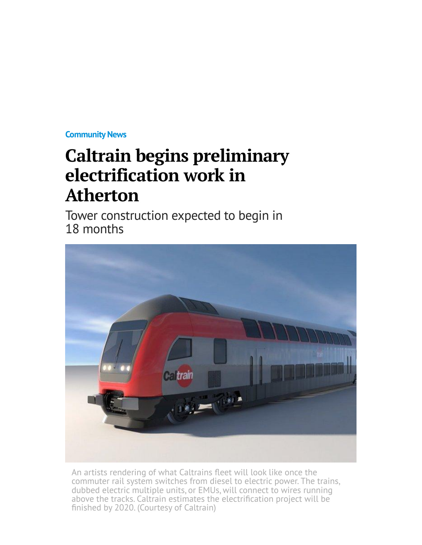**[Community News](http://www.mercurynews.com/community-news/)**

## **Caltrain begins preliminary electrification work in Atherton**

Tower construction expected to begin in 18 months



An artists rendering of what Caltrains fleet will look like once the commuter rail system switches from diesel to electric power. The trains, dubbed electric multiple units, or EMUs, will connect to wires running above the tracks. Caltrain estimates the electrification project will be finished by 2020. (Courtesy of Caltrain)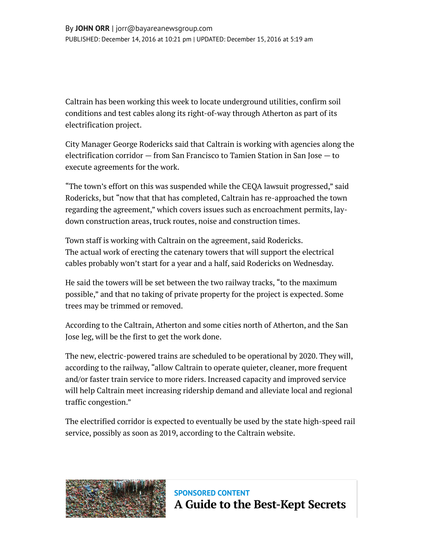Caltrain has been working this week to locate underground utilities, confirm soil conditions and test cables along its right-of-way through Atherton as part of its electrification project.

City Manager George Rodericks said that Caltrain is working with agencies along the electrification corridor — from San Francisco to Tamien Station in San Jose — to execute agreements for the work.

"The town's effort on this was suspended while the CEQA lawsuit progressed," said Rodericks, but "now that that has completed, Caltrain has re-approached the town regarding the agreement," which covers issues such as encroachment permits, laydown construction areas, truck routes, noise and construction times.

Town staff is working with Caltrain on the agreement, said Rodericks. The actual work of erecting the catenary towers that will support the electrical cables probably won't start for a year and a half, said Rodericks on Wednesday.

He said the towers will be set between the two railway tracks, "to the maximum possible," and that no taking of private property for the project is expected. Some trees may be trimmed or removed.

According to the Caltrain, Atherton and some cities north of Atherton, and the San Jose leg, will be the first to get the work done.

The new, electric-powered trains are scheduled to be operational by 2020. They will, according to the railway, "allow Caltrain to operate quieter, cleaner, more frequent and/or faster train service to more riders. Increased capacity and improved service will help Caltrain meet increasing ridership demand and alleviate local and regional traffic congestion."

The electrified corridor is expected to eventually be used by the state high-speed rail service, possibly as soon as 2019, according to the Caltrain website.



**SPONSORED CONTENT [A Guide to the Best-Kept Secrets](http://www.mercurynews.com/sponsor-content?prx_t=V3wCAMRwLArLEPA&ntv_fr)**